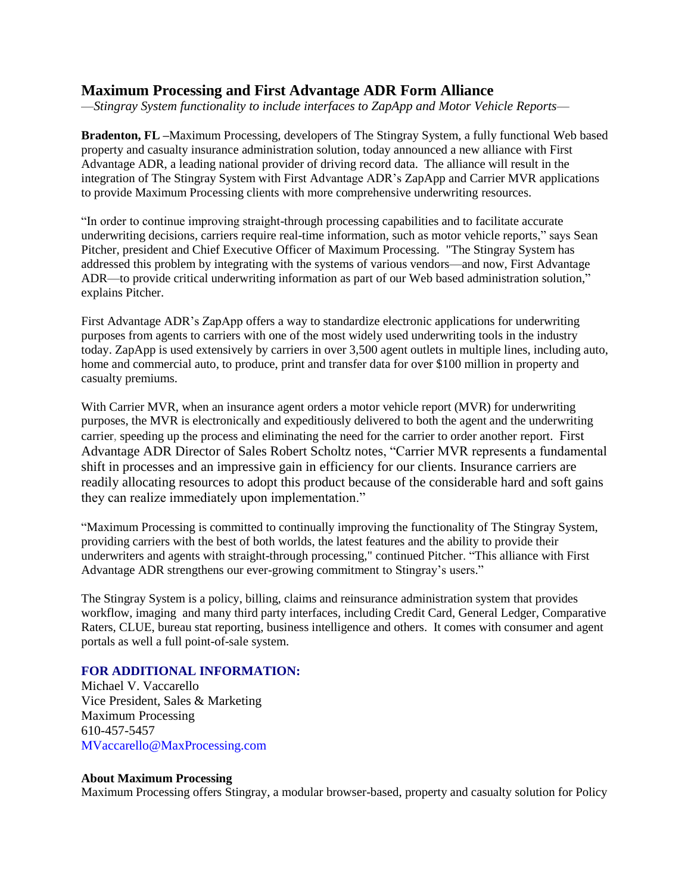## **Maximum Processing and First Advantage ADR Form Alliance**

—*Stingray System functionality to include interfaces to ZapApp and Motor Vehicle Reports*—

**Bradenton, FL –**Maximum Processing, developers of The Stingray System, a fully functional Web based property and casualty insurance administration solution, today announced a new alliance with First Advantage ADR, a leading national provider of driving record data. The alliance will result in the integration of The Stingray System with First Advantage ADR's ZapApp and Carrier MVR applications to provide Maximum Processing clients with more comprehensive underwriting resources.

"In order to continue improving straight-through processing capabilities and to facilitate accurate underwriting decisions, carriers require real-time information, such as motor vehicle reports," says Sean Pitcher, president and Chief Executive Officer of Maximum Processing. "The Stingray System has addressed this problem by integrating with the systems of various vendors—and now, First Advantage ADR—to provide critical underwriting information as part of our Web based administration solution," explains Pitcher.

First Advantage ADR's ZapApp offers a way to standardize electronic applications for underwriting purposes from agents to carriers with one of the most widely used underwriting tools in the industry today. ZapApp is used extensively by carriers in over 3,500 agent outlets in multiple lines, including auto, home and commercial auto, to produce, print and transfer data for over \$100 million in property and casualty premiums.

With Carrier MVR, when an insurance agent orders a motor vehicle report (MVR) for underwriting purposes, the MVR is electronically and expeditiously delivered to both the agent and the underwriting carrier, speeding up the process and eliminating the need for the carrier to order another report. First Advantage ADR Director of Sales Robert Scholtz notes, "Carrier MVR represents a fundamental shift in processes and an impressive gain in efficiency for our clients. Insurance carriers are readily allocating resources to adopt this product because of the considerable hard and soft gains they can realize immediately upon implementation."

"Maximum Processing is committed to continually improving the functionality of The Stingray System, providing carriers with the best of both worlds, the latest features and the ability to provide their underwriters and agents with straight-through processing," continued Pitcher. "This alliance with First Advantage ADR strengthens our ever-growing commitment to Stingray's users."

The Stingray System is a policy, billing, claims and reinsurance administration system that provides workflow, imaging and many third party interfaces, including Credit Card, General Ledger, Comparative Raters, CLUE, bureau stat reporting, business intelligence and others. It comes with consumer and agent portals as well a full point-of-sale system.

## **FOR ADDITIONAL INFORMATION:**

Michael V. Vaccarello Vice President, Sales & Marketing Maximum Processing 610-457-5457 MVaccarello@MaxProcessing.com

## **About Maximum Processing**

Maximum Processing offers Stingray, a modular browser-based, property and casualty solution for Policy